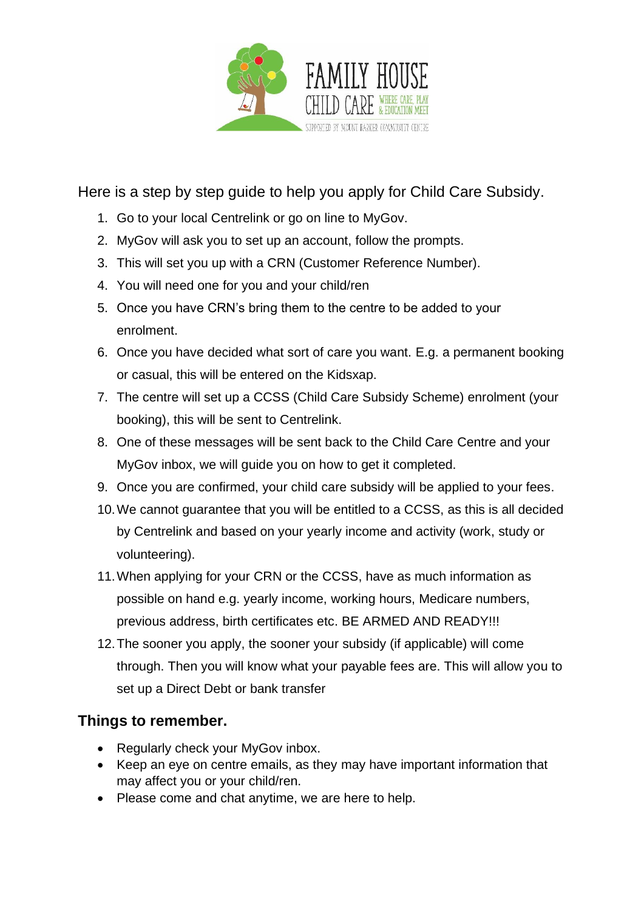

Here is a step by step guide to help you apply for Child Care Subsidy.

- 1. Go to your local Centrelink or go on line to MyGov.
- 2. MyGov will ask you to set up an account, follow the prompts.
- 3. This will set you up with a CRN (Customer Reference Number).
- 4. You will need one for you and your child/ren
- 5. Once you have CRN's bring them to the centre to be added to your enrolment.
- 6. Once you have decided what sort of care you want. E.g. a permanent booking or casual, this will be entered on the Kidsxap.
- 7. The centre will set up a CCSS (Child Care Subsidy Scheme) enrolment (your booking), this will be sent to Centrelink.
- 8. One of these messages will be sent back to the Child Care Centre and your MyGov inbox, we will guide you on how to get it completed.
- 9. Once you are confirmed, your child care subsidy will be applied to your fees.
- 10.We cannot guarantee that you will be entitled to a CCSS, as this is all decided by Centrelink and based on your yearly income and activity (work, study or volunteering).
- 11.When applying for your CRN or the CCSS, have as much information as possible on hand e.g. yearly income, working hours, Medicare numbers, previous address, birth certificates etc. BE ARMED AND READY!!!
- 12.The sooner you apply, the sooner your subsidy (if applicable) will come through. Then you will know what your payable fees are. This will allow you to set up a Direct Debt or bank transfer

## **Things to remember.**

- Regularly check your MyGov inbox.
- Keep an eye on centre emails, as they may have important information that may affect you or your child/ren.
- Please come and chat anytime, we are here to help.